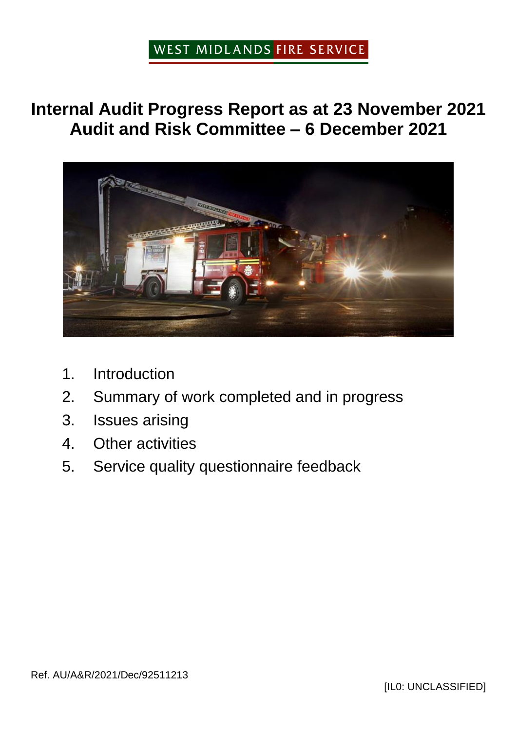### WEST MIDLANDS FIRE SERVICE

**Internal Audit Progress Report as at 23 November 2021 Audit and Risk Committee – 6 December 2021**



- 1. Introduction
- 2. Summary of work completed and in progress
- 3. Issues arising
- 4. Other activities
- 5. Service quality questionnaire feedback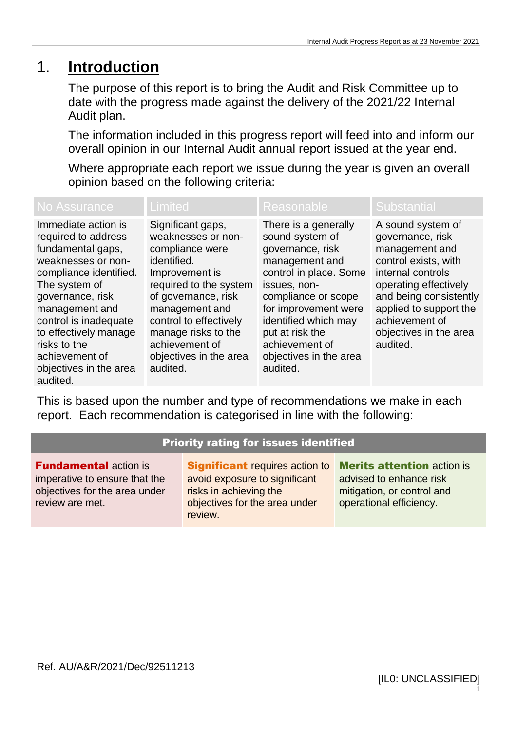### 1. **Introduction**

The purpose of this report is to bring the Audit and Risk Committee up to date with the progress made against the delivery of the 2021/22 Internal Audit plan.

The information included in this progress report will feed into and inform our overall opinion in our Internal Audit annual report issued at the year end.

Where appropriate each report we issue during the year is given an overall opinion based on the following criteria:

| <b>No Assurance</b>                                                                                                                                                                                                                                                                              | <b>Limited</b>                                                                                                                                                                                                                                                          | Reasonable                                                                                                                                                                                                                                                                | <b>Substantial</b>                                                                                                                                                                                                                        |
|--------------------------------------------------------------------------------------------------------------------------------------------------------------------------------------------------------------------------------------------------------------------------------------------------|-------------------------------------------------------------------------------------------------------------------------------------------------------------------------------------------------------------------------------------------------------------------------|---------------------------------------------------------------------------------------------------------------------------------------------------------------------------------------------------------------------------------------------------------------------------|-------------------------------------------------------------------------------------------------------------------------------------------------------------------------------------------------------------------------------------------|
| Immediate action is<br>required to address<br>fundamental gaps,<br>weaknesses or non-<br>compliance identified.<br>The system of<br>governance, risk<br>management and<br>control is inadequate<br>to effectively manage<br>risks to the<br>achievement of<br>objectives in the area<br>audited. | Significant gaps,<br>weaknesses or non-<br>compliance were<br>identified.<br>Improvement is<br>required to the system<br>of governance, risk<br>management and<br>control to effectively<br>manage risks to the<br>achievement of<br>objectives in the area<br>audited. | There is a generally<br>sound system of<br>governance, risk<br>management and<br>control in place. Some<br>issues, non-<br>compliance or scope<br>for improvement were<br>identified which may<br>put at risk the<br>achievement of<br>objectives in the area<br>audited. | A sound system of<br>governance, risk<br>management and<br>control exists, with<br>internal controls<br>operating effectively<br>and being consistently<br>applied to support the<br>achievement of<br>objectives in the area<br>audited. |

This is based upon the number and type of recommendations we make in each report. Each recommendation is categorised in line with the following:

#### Priority rating for issues identified

**Fundamental action is** imperative to ensure that the objectives for the area under review are met.

**Significant** requires action to avoid exposure to significant risks in achieving the objectives for the area under review.

**Merits attention action is** advised to enhance risk mitigation, or control and operational efficiency.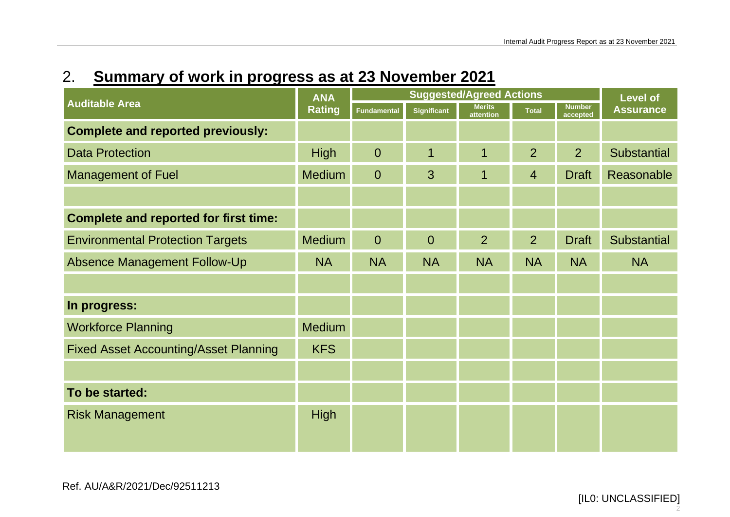## 2. **Summary of work in progress as at 23 November 2021**

|                                              | <b>ANA</b><br><b>Rating</b> | <b>Suggested/Agreed Actions</b> |                    |                            |                | <b>Level of</b>           |                    |
|----------------------------------------------|-----------------------------|---------------------------------|--------------------|----------------------------|----------------|---------------------------|--------------------|
| <b>Auditable Area</b>                        |                             | <b>Fundamental</b>              | <b>Significant</b> | <b>Merits</b><br>attention | <b>Total</b>   | <b>Number</b><br>accepted | <b>Assurance</b>   |
| <b>Complete and reported previously:</b>     |                             |                                 |                    |                            |                |                           |                    |
| <b>Data Protection</b>                       | <b>High</b>                 | $\overline{0}$                  | 1                  | 1                          | $\overline{2}$ | 2                         | <b>Substantial</b> |
| <b>Management of Fuel</b>                    | <b>Medium</b>               | $\overline{0}$                  | 3                  | $\mathbf 1$                | $\overline{4}$ | <b>Draft</b>              | Reasonable         |
|                                              |                             |                                 |                    |                            |                |                           |                    |
| <b>Complete and reported for first time:</b> |                             |                                 |                    |                            |                |                           |                    |
| <b>Environmental Protection Targets</b>      | <b>Medium</b>               | $\overline{0}$                  | $\overline{0}$     | $\overline{2}$             | $\overline{2}$ | <b>Draft</b>              | <b>Substantial</b> |
| <b>Absence Management Follow-Up</b>          | <b>NA</b>                   | <b>NA</b>                       | <b>NA</b>          | <b>NA</b>                  | <b>NA</b>      | <b>NA</b>                 | <b>NA</b>          |
|                                              |                             |                                 |                    |                            |                |                           |                    |
| In progress:                                 |                             |                                 |                    |                            |                |                           |                    |
| <b>Workforce Planning</b>                    | <b>Medium</b>               |                                 |                    |                            |                |                           |                    |
| <b>Fixed Asset Accounting/Asset Planning</b> | <b>KFS</b>                  |                                 |                    |                            |                |                           |                    |
|                                              |                             |                                 |                    |                            |                |                           |                    |
| To be started:                               |                             |                                 |                    |                            |                |                           |                    |
| <b>Risk Management</b>                       | <b>High</b>                 |                                 |                    |                            |                |                           |                    |
|                                              |                             |                                 |                    |                            |                |                           |                    |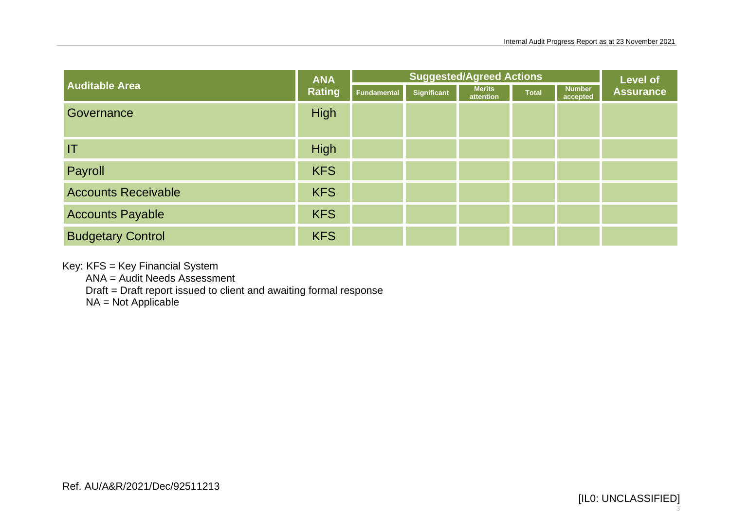|                            | <b>ANA</b><br><b>Rating</b> | <b>Suggested/Agreed Actions</b> |             |                            |              | <b>Level of</b>           |                  |
|----------------------------|-----------------------------|---------------------------------|-------------|----------------------------|--------------|---------------------------|------------------|
| <b>Auditable Area</b>      |                             | Fundamental                     | Significant | <b>Merits</b><br>attention | <b>Total</b> | <b>Number</b><br>accepted | <b>Assurance</b> |
| Governance                 | <b>High</b>                 |                                 |             |                            |              |                           |                  |
| IT                         | <b>High</b>                 |                                 |             |                            |              |                           |                  |
| Payroll                    | <b>KFS</b>                  |                                 |             |                            |              |                           |                  |
| <b>Accounts Receivable</b> | <b>KFS</b>                  |                                 |             |                            |              |                           |                  |
| <b>Accounts Payable</b>    | <b>KFS</b>                  |                                 |             |                            |              |                           |                  |
| <b>Budgetary Control</b>   | <b>KFS</b>                  |                                 |             |                            |              |                           |                  |

Key: KFS = Key Financial System

ANA = Audit Needs Assessment

Draft = Draft report issued to client and awaiting formal response

 $NA = Not Applicable$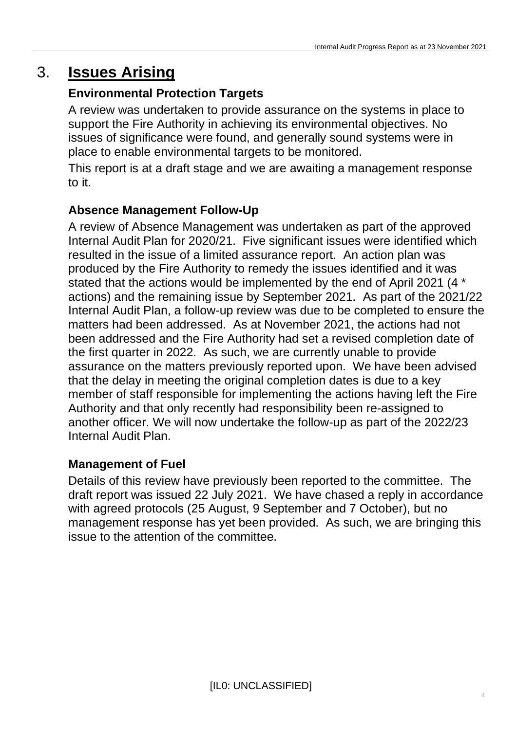### 3. **Issues Arising**

#### **Environmental Protection Targets**

A review was undertaken to provide assurance on the systems in place to support the Fire Authority in achieving its environmental objectives. No issues of significance were found, and generally sound systems were in place to enable environmental targets to be monitored.

This report is at a draft stage and we are awaiting a management response to it.

### **Absence Management Follow-Up**

A review of Absence Management was undertaken as part of the approved Internal Audit Plan for 2020/21. Five significant issues were identified which resulted in the issue of a limited assurance report. An action plan was produced by the Fire Authority to remedy the issues identified and it was stated that the actions would be implemented by the end of April 2021 (4 \* actions) and the remaining issue by September 2021. As part of the 2021/22 Internal Audit Plan, a follow-up review was due to be completed to ensure the matters had been addressed. As at November 2021, the actions had not been addressed and the Fire Authority had set a revised completion date of the first quarter in 2022. As such, we are currently unable to provide assurance on the matters previously reported upon. We have been advised that the delay in meeting the original completion dates is due to a key member of staff responsible for implementing the actions having left the Fire Authority and that only recently had responsibility been re-assigned to another officer. We will now undertake the follow-up as part of the 2022/23 Internal Audit Plan.

#### **Management of Fuel**

Details of this review have previously been reported to the committee. The draft report was issued 22 July 2021. We have chased a reply in accordance with agreed protocols (25 August, 9 September and 7 October), but no management response has yet been provided. As such, we are bringing this issue to the attention of the committee.